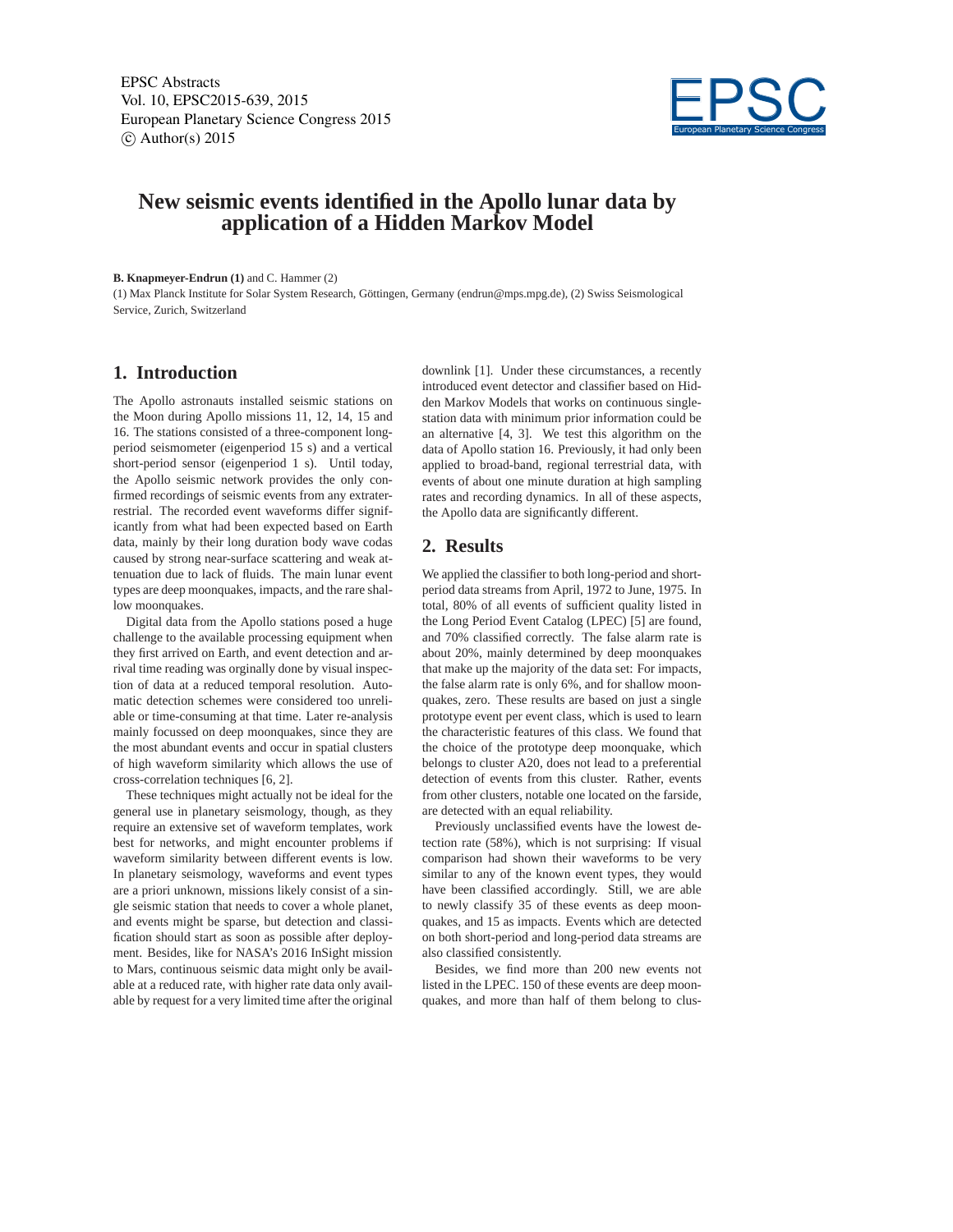EPSC Abstracts Vol. 10, EPSC2015-639, 2015 European Planetary Science Congress 2015  $\circ$  Author(s) 2015



# **New seismic events identified in the Apollo lunar data by application of a Hidden Markov Model**

**B. Knapmeyer-Endrun (1)** and C. Hammer (2)

(1) Max Planck Institute for Solar System Research, Göttingen, Germany (endrun@mps.mpg.de), (2) Swiss Seismological Service, Zurich, Switzerland

#### **1. Introduction**

The Apollo astronauts installed seismic stations on the Moon during Apollo missions 11, 12, 14, 15 and 16. The stations consisted of a three-component longperiod seismometer (eigenperiod 15 s) and a vertical short-period sensor (eigenperiod 1 s). Until today, the Apollo seismic network provides the only confirmed recordings of seismic events from any extraterrestrial. The recorded event waveforms differ significantly from what had been expected based on Earth data, mainly by their long duration body wave codas caused by strong near-surface scattering and weak attenuation due to lack of fluids. The main lunar event types are deep moonquakes, impacts, and the rare shallow moonquakes.

Digital data from the Apollo stations posed a huge challenge to the available processing equipment when they first arrived on Earth, and event detection and arrival time reading was orginally done by visual inspection of data at a reduced temporal resolution. Automatic detection schemes were considered too unreliable or time-consuming at that time. Later re-analysis mainly focussed on deep moonquakes, since they are the most abundant events and occur in spatial clusters of high waveform similarity which allows the use of cross-correlation techniques [6, 2].

These techniques might actually not be ideal for the general use in planetary seismology, though, as they require an extensive set of waveform templates, work best for networks, and might encounter problems if waveform similarity between different events is low. In planetary seismology, waveforms and event types are a priori unknown, missions likely consist of a single seismic station that needs to cover a whole planet, and events might be sparse, but detection and classification should start as soon as possible after deployment. Besides, like for NASA's 2016 InSight mission to Mars, continuous seismic data might only be available at a reduced rate, with higher rate data only available by request for a very limited time after the original

downlink [1]. Under these circumstances, a recently introduced event detector and classifier based on Hidden Markov Models that works on continuous singlestation data with minimum prior information could be an alternative [4, 3]. We test this algorithm on the data of Apollo station 16. Previously, it had only been applied to broad-band, regional terrestrial data, with events of about one minute duration at high sampling rates and recording dynamics. In all of these aspects, the Apollo data are significantly different.

## **2. Results**

We applied the classifier to both long-period and shortperiod data streams from April, 1972 to June, 1975. In total, 80% of all events of sufficient quality listed in the Long Period Event Catalog (LPEC) [5] are found, and 70% classified correctly. The false alarm rate is about 20%, mainly determined by deep moonquakes that make up the majority of the data set: For impacts, the false alarm rate is only 6%, and for shallow moonquakes, zero. These results are based on just a single prototype event per event class, which is used to learn the characteristic features of this class. We found that the choice of the prototype deep moonquake, which belongs to cluster A20, does not lead to a preferential detection of events from this cluster. Rather, events from other clusters, notable one located on the farside, are detected with an equal reliability.

Previously unclassified events have the lowest detection rate (58%), which is not surprising: If visual comparison had shown their waveforms to be very similar to any of the known event types, they would have been classified accordingly. Still, we are able to newly classify 35 of these events as deep moonquakes, and 15 as impacts. Events which are detected on both short-period and long-period data streams are also classified consistently.

Besides, we find more than 200 new events not listed in the LPEC. 150 of these events are deep moonquakes, and more than half of them belong to clus